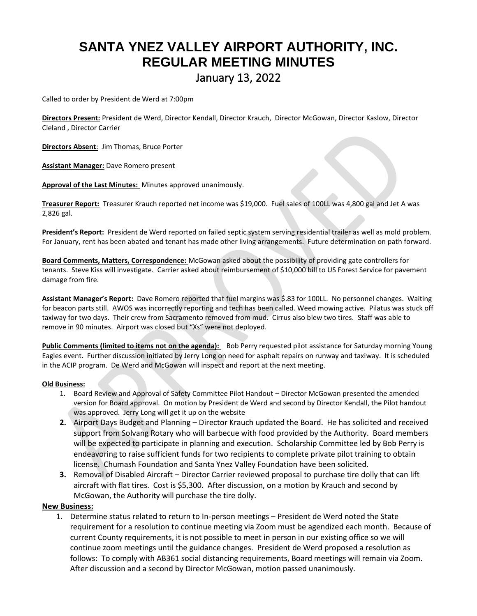# **SANTA YNEZ VALLEY AIRPORT AUTHORITY, INC. REGULAR MEETING MINUTES** January 13, 2022

Called to order by President de Werd at 7:00pm

**Directors Present:** President de Werd, Director Kendall, Director Krauch, Director McGowan, Director Kaslow, Director Cleland , Director Carrier

**Directors Absent**: Jim Thomas, Bruce Porter

**Assistant Manager:** Dave Romero present

**Approval of the Last Minutes:** Minutes approved unanimously.

**Treasurer Report:** Treasurer Krauch reported net income was \$19,000. Fuel sales of 100LL was 4,800 gal and Jet A was 2,826 gal.

**President's Report:** President de Werd reported on failed septic system serving residential trailer as well as mold problem. For January, rent has been abated and tenant has made other living arrangements. Future determination on path forward.

**Board Comments, Matters, Correspondence:** McGowan asked about the possibility of providing gate controllers for tenants. Steve Kiss will investigate. Carrier asked about reimbursement of \$10,000 bill to US Forest Service for pavement damage from fire.

**Assistant Manager's Report:** Dave Romero reported that fuel margins was \$.83 for 100LL. No personnel changes. Waiting for beacon parts still. AWOS was incorrectly reporting and tech has been called. Weed mowing active. Pilatus was stuck off taxiway for two days. Their crew from Sacramento removed from mud. Cirrus also blew two tires. Staff was able to remove in 90 minutes. Airport was closed but "Xs" were not deployed.

**Public Comments (limited to items not on the agenda):** Bob Perry requested pilot assistance for Saturday morning Young Eagles event. Further discussion initiated by Jerry Long on need for asphalt repairs on runway and taxiway. It is scheduled in the ACIP program. De Werd and McGowan will inspect and report at the next meeting.

#### **Old Business:**

- 1. Board Review and Approval of Safety Committee Pilot Handout Director McGowan presented the amended version for Board approval. On motion by President de Werd and second by Director Kendall, the Pilot handout was approved. Jerry Long will get it up on the website
- **2.** Airport Days Budget and Planning Director Krauch updated the Board. He has solicited and received support from Solvang Rotary who will barbecue with food provided by the Authority. Board members will be expected to participate in planning and execution. Scholarship Committee led by Bob Perry is endeavoring to raise sufficient funds for two recipients to complete private pilot training to obtain license. Chumash Foundation and Santa Ynez Valley Foundation have been solicited.
- **3.** Removal of Disabled Aircraft Director Carrier reviewed proposal to purchase tire dolly that can lift aircraft with flat tires. Cost is \$5,300. After discussion, on a motion by Krauch and second by McGowan, the Authority will purchase the tire dolly.

#### **New Business:**

1. Determine status related to return to In-person meetings – President de Werd noted the State requirement for a resolution to continue meeting via Zoom must be agendized each month. Because of current County requirements, it is not possible to meet in person in our existing office so we will continue zoom meetings until the guidance changes. President de Werd proposed a resolution as follows: To comply with AB361 social distancing requirements, Board meetings will remain via Zoom. After discussion and a second by Director McGowan, motion passed unanimously.